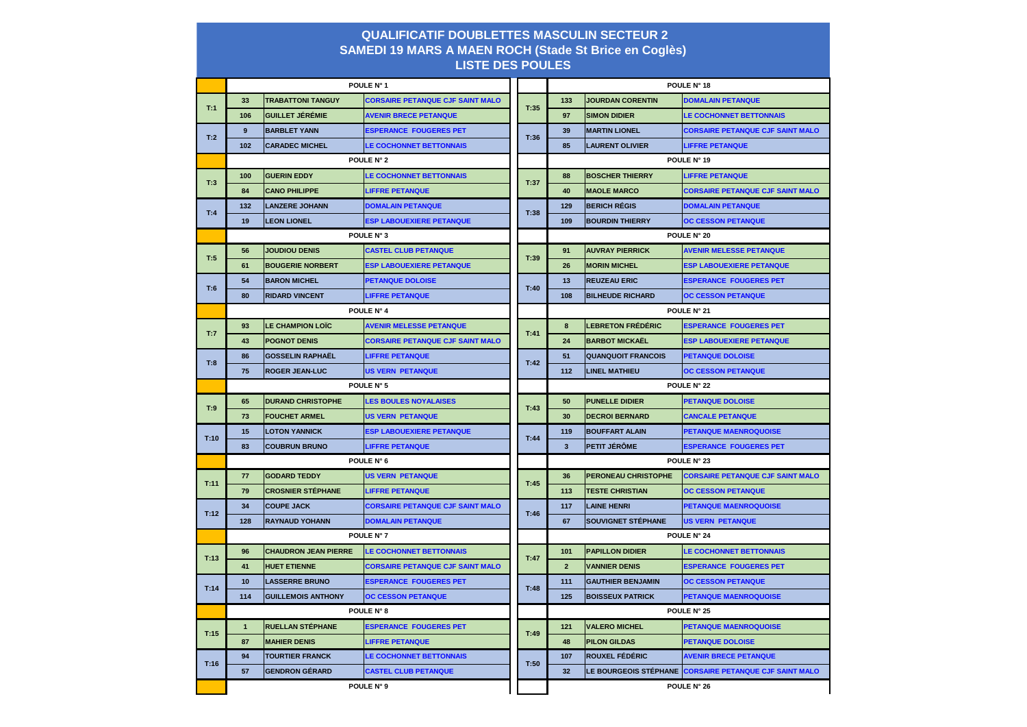| <b>QUALIFICATIF DOUBLETTES MASCULIN SECTEUR 2</b><br><b>SAMEDI 19 MARS A MAEN ROCH (Stade St Brice en Coglès)</b> |                           |                                                          |                                         |      |                    |                            |                                                        |  |  |  |  |
|-------------------------------------------------------------------------------------------------------------------|---------------------------|----------------------------------------------------------|-----------------------------------------|------|--------------------|----------------------------|--------------------------------------------------------|--|--|--|--|
| <b>LISTE DES POULES</b>                                                                                           |                           |                                                          |                                         |      |                    |                            |                                                        |  |  |  |  |
|                                                                                                                   |                           | POULE N° 1                                               |                                         |      | POULE N° 18        |                            |                                                        |  |  |  |  |
| T:1                                                                                                               | 33                        | <b>TRABATTONI TANGUY</b>                                 | <b>CORSAIRE PETANQUE CJF SAINT MALO</b> | T:35 | 133                | <b>JOURDAN CORENTIN</b>    | <b>DOMALAIN PETANQUE</b>                               |  |  |  |  |
|                                                                                                                   | 106                       | <b>IGUILLET JÉRÉMIE</b>                                  | <b>AVENIR BRECE PETANQUE</b>            |      | 97                 | <b>SIMON DIDIER</b>        | <b>LE COCHONNET BETTONNAIS</b>                         |  |  |  |  |
| T:2                                                                                                               | 9                         | <b>BARBLET YANN</b>                                      | <b>ESPERANCE FOUGERES PET</b>           | T:36 | 39                 | <b>MARTIN LIONEL</b>       | <b>CORSAIRE PETANQUE CJF SAINT MALO</b>                |  |  |  |  |
|                                                                                                                   | 102                       | <b>CARADEC MICHEL</b>                                    | <b>LE COCHONNET BETTONNAIS</b>          |      | 85                 | <b>LAURENT OLIVIER</b>     | <b>LIFFRE PETANQUE</b>                                 |  |  |  |  |
|                                                                                                                   | POULE N° 2                |                                                          |                                         |      | POULE N° 19        |                            |                                                        |  |  |  |  |
| T:3                                                                                                               | 100                       | <b>GUERIN EDDY</b>                                       | <b>LE COCHONNET BETTONNAIS</b>          | T:37 | 88                 | <b>BOSCHER THIERRY</b>     | <b>LIFFRE PETANQUE</b>                                 |  |  |  |  |
|                                                                                                                   | 84                        | <b>CANO PHILIPPE</b>                                     | <b>LIFFRE PETANQUE</b>                  |      | 40                 | <b>MAOLE MARCO</b>         | <b>CORSAIRE PETANQUE CJF SAINT MALO</b>                |  |  |  |  |
| T:4                                                                                                               | 132                       | <b>LANZERE JOHANN</b>                                    | <b>DOMALAIN PETANQUE</b>                | T:38 | 129                | <b>BERICH RÉGIS</b>        | <b>DOMALAIN PETANQUE</b>                               |  |  |  |  |
|                                                                                                                   | 19                        | <b>LEON LIONEL</b>                                       | <b>ESP LABOUEXIERE PETANQUE</b>         |      | 109                | <b>BOURDIN THIERRY</b>     | <b>OC CESSON PETANQUE</b>                              |  |  |  |  |
|                                                                                                                   | POULE N° 3                |                                                          |                                         |      | <b>POULE N° 20</b> |                            |                                                        |  |  |  |  |
| T:5                                                                                                               | 56                        | <b>JOUDIOU DENIS</b>                                     | <b>CASTEL CLUB PETANQUE</b>             | T:39 | 91                 | <b>AUVRAY PIERRICK</b>     | <b>AVENIR MELESSE PETANQUE</b>                         |  |  |  |  |
|                                                                                                                   | 61                        | <b>BOUGERIE NORBERT</b>                                  | <b>ESP LABOUEXIERE PETANQUE</b>         |      | 26                 | <b>MORIN MICHEL</b>        | <b>ESP LABOUEXIERE PETANQUE</b>                        |  |  |  |  |
| T:6                                                                                                               | 54                        | <b>BARON MICHEL</b>                                      | <b>PETANQUE DOLOISE</b>                 | T:40 | 13                 | <b>REUZEAU ERIC</b>        | <b>ESPERANCE FOUGERES PET</b>                          |  |  |  |  |
|                                                                                                                   | 80                        | <b>RIDARD VINCENT</b>                                    | <b>LIFFRE PETANQUE</b>                  |      | 108                | <b>BILHEUDE RICHARD</b>    | <b>OC CESSON PETANQUE</b>                              |  |  |  |  |
|                                                                                                                   | POULE N° 4                |                                                          |                                         |      | POULE N° 21        |                            |                                                        |  |  |  |  |
| T:7                                                                                                               | 93                        | <b>LE CHAMPION LOÏC</b>                                  | <b>AVENIR MELESSE PETANQUE</b>          | T:41 | 8                  | <b>LEBRETON FRÉDÉRIC</b>   | <b>ESPERANCE FOUGERES PET</b>                          |  |  |  |  |
|                                                                                                                   | 43                        | <b>POGNOT DENIS</b>                                      | <b>CORSAIRE PETANQUE CJF SAINT MALO</b> |      | 24                 | <b>BARBOT MICKAËL</b>      | <b>ESP LABOUEXIERE PETANQUE</b>                        |  |  |  |  |
| T:8                                                                                                               | 86                        | <b>İGOSSELIN RAPHAËL</b>                                 | <b>LIFFRE PETANQUE</b>                  | T:42 | 51                 | <b>QUANQUOIT FRANCOIS</b>  | <b>PETANQUE DOLOISE</b>                                |  |  |  |  |
|                                                                                                                   | 75                        | <b>ROGER JEAN-LUC</b>                                    | <b>US VERN PETANQUE</b>                 |      | 112                | <b>LINEL MATHIEU</b>       | <b>OC CESSON PETANQUE</b>                              |  |  |  |  |
|                                                                                                                   | POULE N° 5                |                                                          |                                         |      | POULE N° 22        |                            |                                                        |  |  |  |  |
| T:9                                                                                                               | 65                        | <b>DURAND CHRISTOPHE</b><br><b>LES BOULES NOYALAISES</b> |                                         | T:43 | 50                 | <b>PUNELLE DIDIER</b>      | <b>PETANQUE DOLOISE</b>                                |  |  |  |  |
|                                                                                                                   | 73                        | <b>FOUCHET ARMEL</b>                                     | <b>US VERN PETANQUE</b>                 |      | 30                 | <b>DECROI BERNARD</b>      | <b>CANCALE PETANQUE</b>                                |  |  |  |  |
| T:10                                                                                                              | 15                        | <b>LOTON YANNICK</b>                                     | <b>ESP LABOUEXIERE PETANQUE</b>         | T:44 | 119                | <b>BOUFFART ALAIN</b>      | PETANQUE MAENROQUOISE                                  |  |  |  |  |
|                                                                                                                   | 83                        | <b>COUBRUN BRUNO</b>                                     | <b>LIFFRE PETANQUE</b>                  |      | 3 <sup>2</sup>     | <b>PETIT JÉRÔME</b>        | <b>ESPERANCE FOUGERES PET</b>                          |  |  |  |  |
|                                                                                                                   | POULE N° 6                |                                                          |                                         |      | POULE N° 23        |                            |                                                        |  |  |  |  |
| T:11                                                                                                              | 77                        | <b>GODARD TEDDY</b>                                      | US VERN PETANQUE                        | T:45 | 36                 | <b>PERONEAU CHRISTOPHE</b> | <b>CORSAIRE PETANQUE CJF SAINT MALO</b>                |  |  |  |  |
|                                                                                                                   | 79                        | <b>CROSNIER STÉPHANE</b>                                 | <b>LIFFRE PETANQUE</b>                  |      | 113                | <b>TESTE CHRISTIAN</b>     | <b>OC CESSON PETANQUE</b>                              |  |  |  |  |
| T:12                                                                                                              | 34                        | <b>COUPE JACK</b>                                        | <b>CORSAIRE PETANQUE CJF SAINT MALO</b> | T:46 | 117                | <b>LAINE HENRI</b>         | <b>PETANQUE MAENROQUOISE</b>                           |  |  |  |  |
|                                                                                                                   | 128                       | <b>RAYNAUD YOHANN</b>                                    | <b>DOMALAIN PETANQUE</b>                |      | 67                 | <b>SOUVIGNET STÉPHANE</b>  | <b>US VERN PETANQUE</b>                                |  |  |  |  |
|                                                                                                                   | POULE N° 7                |                                                          |                                         |      | POULE N° 24        |                            |                                                        |  |  |  |  |
| T:13                                                                                                              | 96                        | <b>CHAUDRON JEAN PIERRE</b>                              | <b>LE COCHONNET BETTONNAIS</b>          | T:47 | 101                | <b>PAPILLON DIDIER</b>     | <b>LE COCHONNET BETTONNAIS</b>                         |  |  |  |  |
|                                                                                                                   | 41                        | <b>HUET ETIENNE</b>                                      | <b>CORSAIRE PETANQUE CJF SAINT MALO</b> |      | 2 <sup>2</sup>     | <b>VANNIER DENIS</b>       | <b>ESPERANCE FOUGERES PET</b>                          |  |  |  |  |
| T:14                                                                                                              | 10                        | <b>LASSERRE BRUNO</b>                                    | <b>ESPERANCE FOUGERES PET</b>           | T:48 | 111                | <b>GAUTHIER BENJAMIN</b>   | <b>OC CESSON PETANQUE</b>                              |  |  |  |  |
|                                                                                                                   | 114                       | <b>GUILLEMOIS ANTHONY</b><br><b>OC CESSON PETANQUE</b>   |                                         |      | 125                | <b>BOISSEUX PATRICK</b>    | <b>PETANQUE MAENROQUOISE</b>                           |  |  |  |  |
|                                                                                                                   |                           |                                                          | POULE N° 8                              |      | POULE N° 25        |                            |                                                        |  |  |  |  |
| T:15                                                                                                              | $\mathbf{1}$              | <b>RUELLAN STÉPHANE</b>                                  | <b>ESPERANCE FOUGERES PET</b>           | T:49 | 121                | <b>VALERO MICHEL</b>       | <b>PETANQUE MAENROQUOISE</b>                           |  |  |  |  |
|                                                                                                                   | 87                        | <b>MAHIER DENIS</b>                                      | <b>LIFFRE PETANQUE</b>                  |      | 48                 | <b>PILON GILDAS</b>        | <b>PETANQUE DOLOISE</b>                                |  |  |  |  |
| T:16                                                                                                              | 94                        | <b>TOURTIER FRANCK</b>                                   | <b>LE COCHONNET BETTONNAIS</b>          | T:50 | 107                | <b>ROUXEL FÉDÉRIC</b>      | <b>AVENIR BRECE PETANQUE</b>                           |  |  |  |  |
|                                                                                                                   | 57                        | <b>GENDRON GÉRARD</b>                                    | <b>CASTEL CLUB PETANQUE</b>             |      | 32                 |                            | LE BOURGEOIS STÉPHANE CORSAIRE PETANQUE CJF SAINT MALO |  |  |  |  |
|                                                                                                                   | POULE N° 9<br>POULE N° 26 |                                                          |                                         |      |                    |                            |                                                        |  |  |  |  |

## **QUALIFICATIF DOUBLETTES MASCULIN SECTEUR 2**